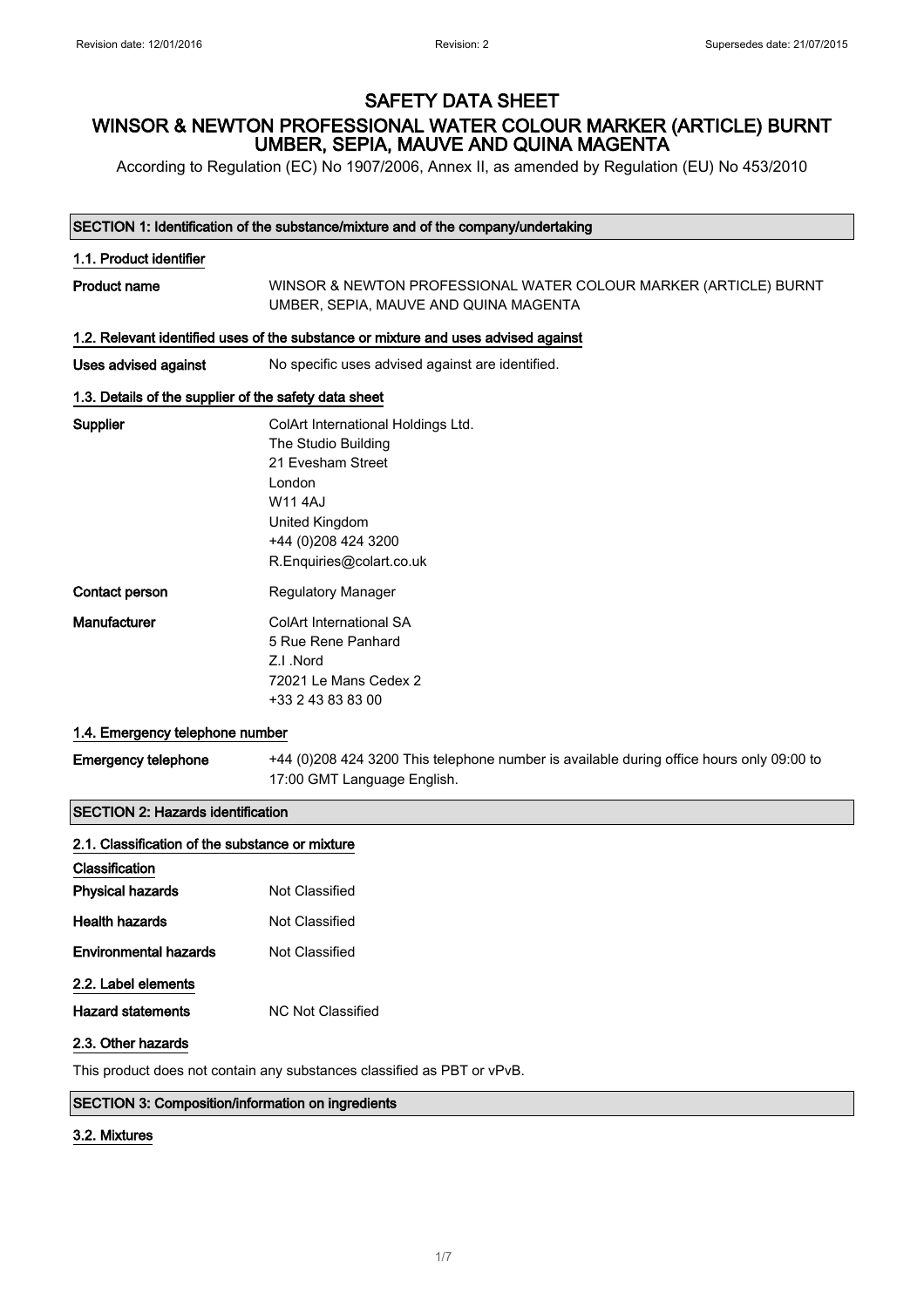According to Regulation (EC) No 1907/2006, Annex II, as amended by Regulation (EU) No 453/2010

#### SECTION 1: Identification of the substance/mixture and of the company/undertaking

# 1.1. Product identifier Product name WINSOR & NEWTON PROFESSIONAL WATER COLOUR MARKER (ARTICLE) BURNT UMBER, SEPIA, MAUVE AND QUINA MAGENTA 1.2. Relevant identified uses of the substance or mixture and uses advised against Uses advised against No specific uses advised against are identified. 1.3. Details of the supplier of the safety data sheet Supplier ColArt International Holdings Ltd. The Studio Building 21 Evesham Street London W11 4AJ United Kingdom +44 (0)208 424 3200 R.Enquiries@colart.co.uk Contact person Regulatory Manager Manufacturer ColArt International SA 5 Rue Rene Panhard Z.I .Nord 72021 Le Mans Cedex 2 +33 2 43 83 83 00

### 1.4. Emergency telephone number

Emergency telephone +44 (0)208 424 3200 This telephone number is available during office hours only 09:00 to 17:00 GMT Language English.

### SECTION 2: Hazards identification

| 2.1. Classification of the substance or mixture |                                                                         |
|-------------------------------------------------|-------------------------------------------------------------------------|
| Classification                                  |                                                                         |
| <b>Physical hazards</b>                         | Not Classified                                                          |
| <b>Health hazards</b>                           | Not Classified                                                          |
| <b>Environmental hazards</b>                    | Not Classified                                                          |
| 2.2. Label elements                             |                                                                         |
| <b>Hazard statements</b>                        | NC Not Classified                                                       |
| 2.3. Other hazards                              |                                                                         |
|                                                 | This product does not contain any substances classified as PBT or vPvB. |

#### SECTION 3: Composition/information on ingredients

### 3.2. Mixtures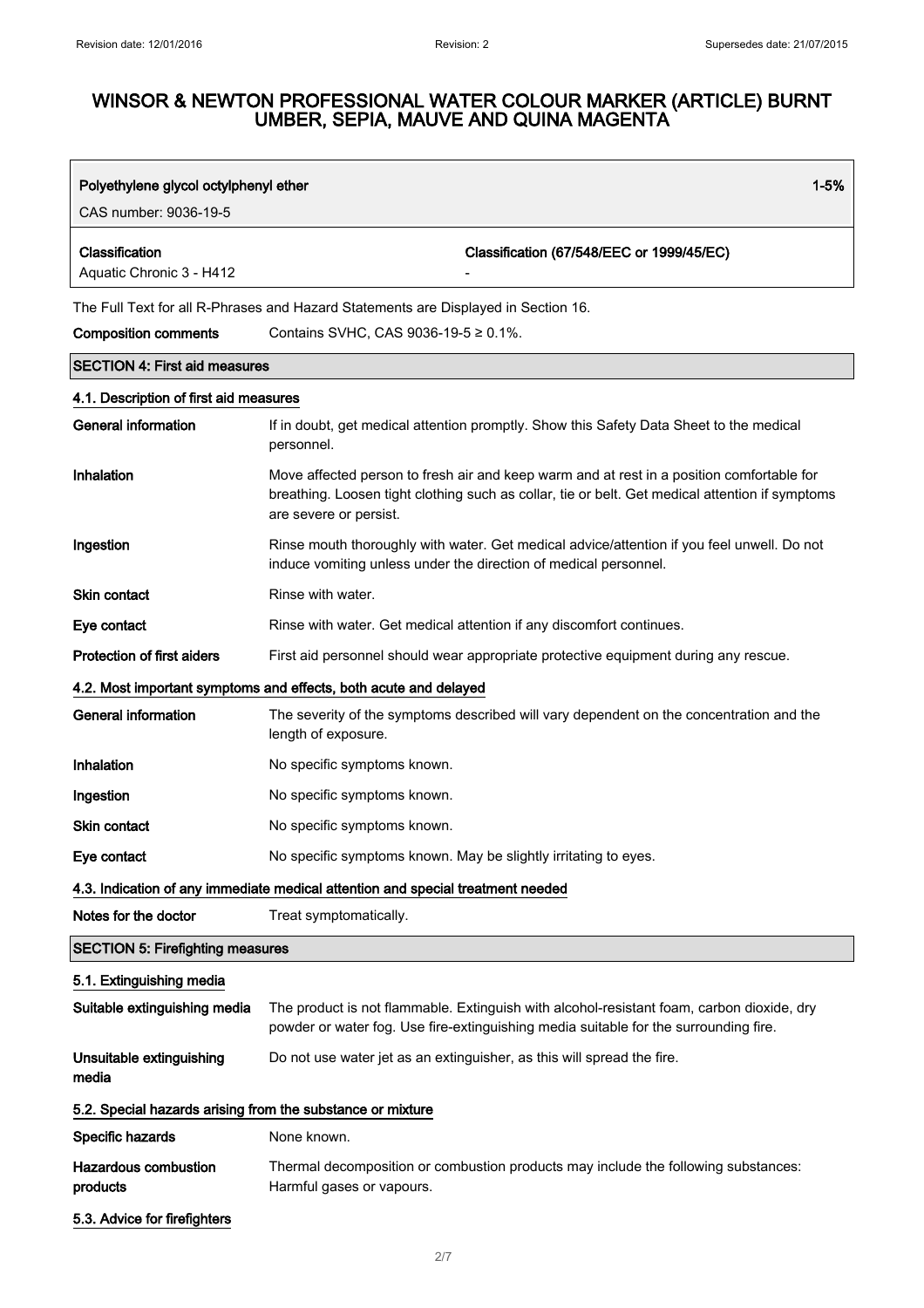| $1 - 5%$<br>Polyethylene glycol octylphenyl ether<br>CAS number: 9036-19-5 |                                                                                                                                                                                                                        |  |
|----------------------------------------------------------------------------|------------------------------------------------------------------------------------------------------------------------------------------------------------------------------------------------------------------------|--|
| Classification<br>Aquatic Chronic 3 - H412                                 | Classification (67/548/EEC or 1999/45/EC)                                                                                                                                                                              |  |
| <b>Composition comments</b>                                                | The Full Text for all R-Phrases and Hazard Statements are Displayed in Section 16.<br>Contains SVHC, CAS 9036-19-5 $\geq$ 0.1%.                                                                                        |  |
| <b>SECTION 4: First aid measures</b>                                       |                                                                                                                                                                                                                        |  |
| 4.1. Description of first aid measures                                     |                                                                                                                                                                                                                        |  |
| <b>General information</b>                                                 | If in doubt, get medical attention promptly. Show this Safety Data Sheet to the medical<br>personnel.                                                                                                                  |  |
| Inhalation                                                                 | Move affected person to fresh air and keep warm and at rest in a position comfortable for<br>breathing. Loosen tight clothing such as collar, tie or belt. Get medical attention if symptoms<br>are severe or persist. |  |
| Ingestion                                                                  | Rinse mouth thoroughly with water. Get medical advice/attention if you feel unwell. Do not<br>induce vomiting unless under the direction of medical personnel.                                                         |  |
| Skin contact                                                               | Rinse with water.                                                                                                                                                                                                      |  |
| Eye contact                                                                | Rinse with water. Get medical attention if any discomfort continues.                                                                                                                                                   |  |
| <b>Protection of first aiders</b>                                          | First aid personnel should wear appropriate protective equipment during any rescue.                                                                                                                                    |  |
|                                                                            | 4.2. Most important symptoms and effects, both acute and delayed                                                                                                                                                       |  |
| <b>General information</b>                                                 | The severity of the symptoms described will vary dependent on the concentration and the<br>length of exposure.                                                                                                         |  |
| Inhalation                                                                 | No specific symptoms known.                                                                                                                                                                                            |  |
| Ingestion                                                                  | No specific symptoms known.                                                                                                                                                                                            |  |
| <b>Skin contact</b>                                                        | No specific symptoms known.                                                                                                                                                                                            |  |
| Eye contact                                                                | No specific symptoms known. May be slightly irritating to eyes.                                                                                                                                                        |  |
|                                                                            | 4.3. Indication of any immediate medical attention and special treatment needed                                                                                                                                        |  |
| Notes for the doctor                                                       | Treat symptomatically.                                                                                                                                                                                                 |  |
| <b>SECTION 5: Firefighting measures</b>                                    |                                                                                                                                                                                                                        |  |
| 5.1. Extinguishing media                                                   |                                                                                                                                                                                                                        |  |
| Suitable extinguishing media                                               | The product is not flammable. Extinguish with alcohol-resistant foam, carbon dioxide, dry<br>powder or water fog. Use fire-extinguishing media suitable for the surrounding fire.                                      |  |
| Unsuitable extinguishing<br>media                                          | Do not use water jet as an extinguisher, as this will spread the fire.                                                                                                                                                 |  |
| 5.2. Special hazards arising from the substance or mixture                 |                                                                                                                                                                                                                        |  |
| Specific hazards                                                           | None known.                                                                                                                                                                                                            |  |
| <b>Hazardous combustion</b><br>products                                    | Thermal decomposition or combustion products may include the following substances:<br>Harmful gases or vapours.                                                                                                        |  |
| 5.3. Advice for firefighters                                               |                                                                                                                                                                                                                        |  |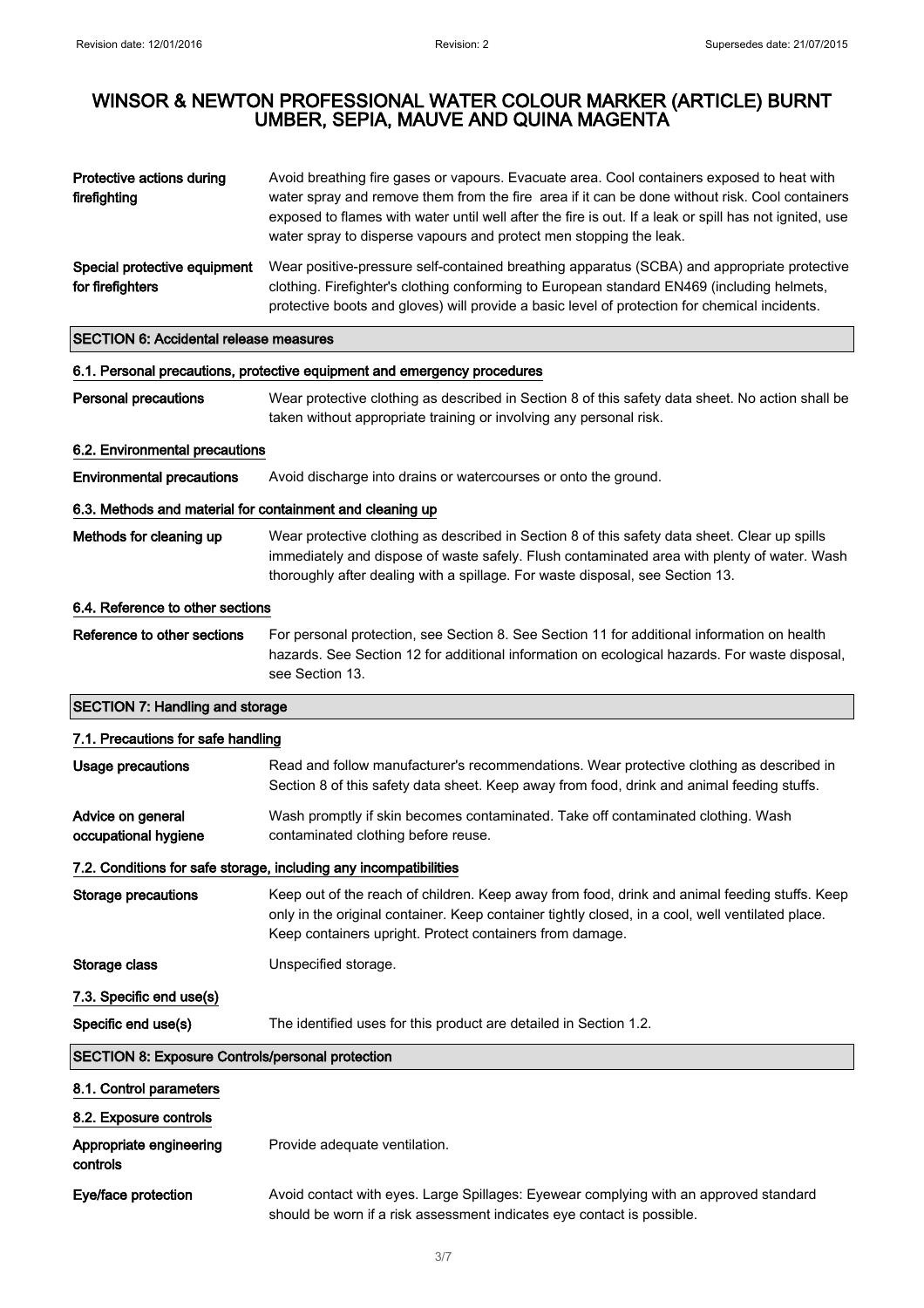| Protective actions during<br>firefighting                 | Avoid breathing fire gases or vapours. Evacuate area. Cool containers exposed to heat with<br>water spray and remove them from the fire area if it can be done without risk. Cool containers<br>exposed to flames with water until well after the fire is out. If a leak or spill has not ignited, use<br>water spray to disperse vapours and protect men stopping the leak. |  |
|-----------------------------------------------------------|------------------------------------------------------------------------------------------------------------------------------------------------------------------------------------------------------------------------------------------------------------------------------------------------------------------------------------------------------------------------------|--|
| Special protective equipment<br>for firefighters          | Wear positive-pressure self-contained breathing apparatus (SCBA) and appropriate protective<br>clothing. Firefighter's clothing conforming to European standard EN469 (including helmets,<br>protective boots and gloves) will provide a basic level of protection for chemical incidents.                                                                                   |  |
| <b>SECTION 6: Accidental release measures</b>             |                                                                                                                                                                                                                                                                                                                                                                              |  |
|                                                           | 6.1. Personal precautions, protective equipment and emergency procedures                                                                                                                                                                                                                                                                                                     |  |
| <b>Personal precautions</b>                               | Wear protective clothing as described in Section 8 of this safety data sheet. No action shall be<br>taken without appropriate training or involving any personal risk.                                                                                                                                                                                                       |  |
| 6.2. Environmental precautions                            |                                                                                                                                                                                                                                                                                                                                                                              |  |
| <b>Environmental precautions</b>                          | Avoid discharge into drains or watercourses or onto the ground.                                                                                                                                                                                                                                                                                                              |  |
| 6.3. Methods and material for containment and cleaning up |                                                                                                                                                                                                                                                                                                                                                                              |  |
| Methods for cleaning up                                   | Wear protective clothing as described in Section 8 of this safety data sheet. Clear up spills<br>immediately and dispose of waste safely. Flush contaminated area with plenty of water. Wash<br>thoroughly after dealing with a spillage. For waste disposal, see Section 13.                                                                                                |  |
| 6.4. Reference to other sections                          |                                                                                                                                                                                                                                                                                                                                                                              |  |
| Reference to other sections                               | For personal protection, see Section 8. See Section 11 for additional information on health<br>hazards. See Section 12 for additional information on ecological hazards. For waste disposal,<br>see Section 13.                                                                                                                                                              |  |
| <b>SECTION 7: Handling and storage</b>                    |                                                                                                                                                                                                                                                                                                                                                                              |  |
| 7.1. Precautions for safe handling                        |                                                                                                                                                                                                                                                                                                                                                                              |  |
| <b>Usage precautions</b>                                  | Read and follow manufacturer's recommendations. Wear protective clothing as described in<br>Section 8 of this safety data sheet. Keep away from food, drink and animal feeding stuffs.                                                                                                                                                                                       |  |
| Advice on general<br>occupational hygiene                 | Wash promptly if skin becomes contaminated. Take off contaminated clothing. Wash<br>contaminated clothing before reuse.                                                                                                                                                                                                                                                      |  |
|                                                           | 7.2. Conditions for safe storage, including any incompatibilities                                                                                                                                                                                                                                                                                                            |  |
| <b>Storage precautions</b>                                | Keep out of the reach of children. Keep away from food, drink and animal feeding stuffs. Keep<br>only in the original container. Keep container tightly closed, in a cool, well ventilated place.<br>Keep containers upright. Protect containers from damage.                                                                                                                |  |
| Storage class                                             | Unspecified storage.                                                                                                                                                                                                                                                                                                                                                         |  |
| 7.3. Specific end use(s)                                  |                                                                                                                                                                                                                                                                                                                                                                              |  |
| Specific end use(s)                                       | The identified uses for this product are detailed in Section 1.2.                                                                                                                                                                                                                                                                                                            |  |
| <b>SECTION 8: Exposure Controls/personal protection</b>   |                                                                                                                                                                                                                                                                                                                                                                              |  |
| 8.1. Control parameters                                   |                                                                                                                                                                                                                                                                                                                                                                              |  |
| 8.2. Exposure controls                                    |                                                                                                                                                                                                                                                                                                                                                                              |  |
| Appropriate engineering<br>controls                       | Provide adequate ventilation.                                                                                                                                                                                                                                                                                                                                                |  |
| Eye/face protection                                       | Avoid contact with eyes. Large Spillages: Eyewear complying with an approved standard<br>should be worn if a risk assessment indicates eye contact is possible.                                                                                                                                                                                                              |  |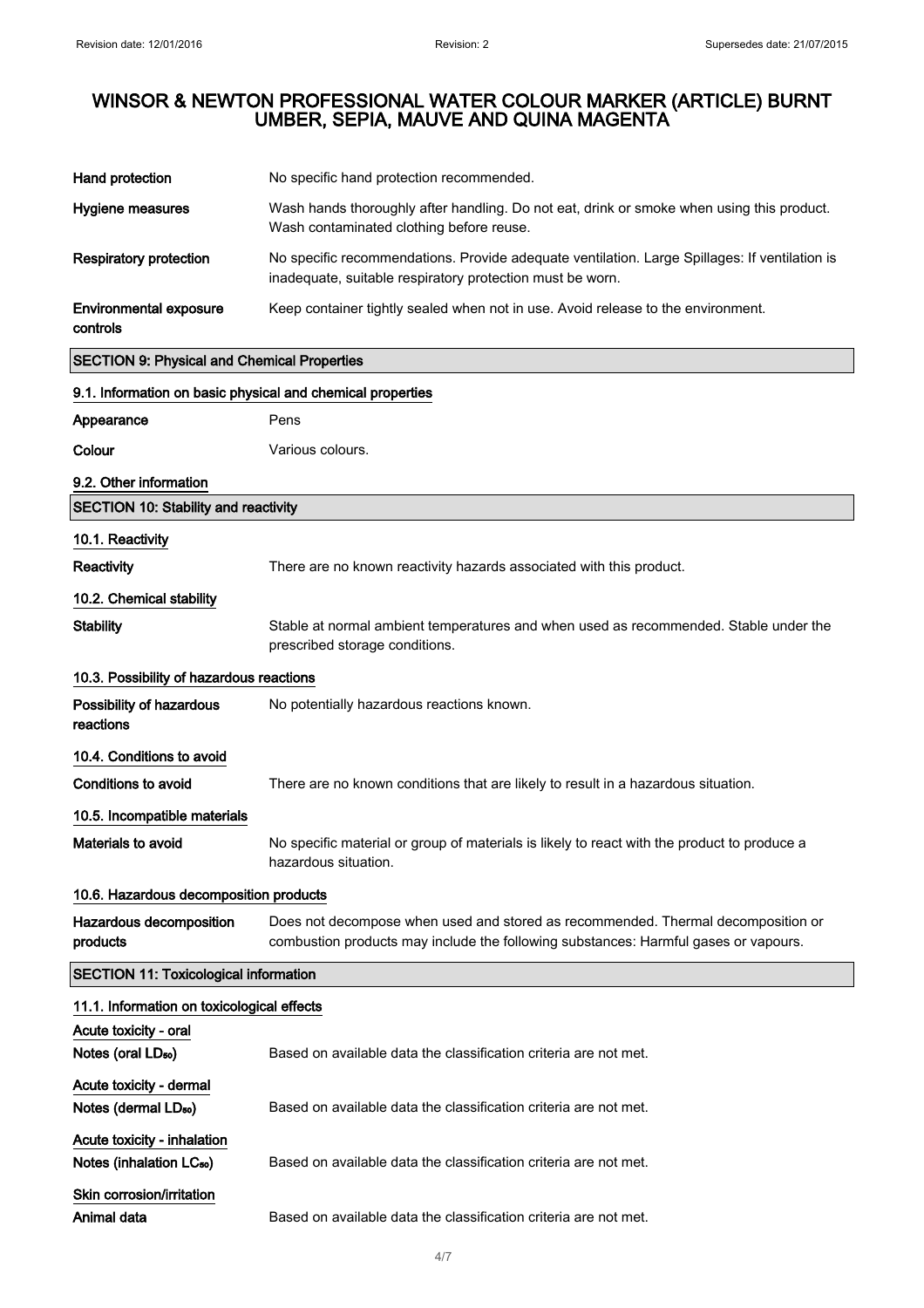| Hand protection                                                     | No specific hand protection recommended.                                                                                                                                |
|---------------------------------------------------------------------|-------------------------------------------------------------------------------------------------------------------------------------------------------------------------|
| Hygiene measures                                                    | Wash hands thoroughly after handling. Do not eat, drink or smoke when using this product.<br>Wash contaminated clothing before reuse.                                   |
| <b>Respiratory protection</b>                                       | No specific recommendations. Provide adequate ventilation. Large Spillages: If ventilation is<br>inadequate, suitable respiratory protection must be worn.              |
| <b>Environmental exposure</b><br>controls                           | Keep container tightly sealed when not in use. Avoid release to the environment.                                                                                        |
| <b>SECTION 9: Physical and Chemical Properties</b>                  |                                                                                                                                                                         |
| 9.1. Information on basic physical and chemical properties          |                                                                                                                                                                         |
| Appearance                                                          | Pens                                                                                                                                                                    |
| Colour                                                              | Various colours.                                                                                                                                                        |
| 9.2. Other information                                              |                                                                                                                                                                         |
| <b>SECTION 10: Stability and reactivity</b>                         |                                                                                                                                                                         |
| 10.1. Reactivity                                                    |                                                                                                                                                                         |
| Reactivity                                                          | There are no known reactivity hazards associated with this product.                                                                                                     |
| 10.2. Chemical stability                                            |                                                                                                                                                                         |
| <b>Stability</b>                                                    | Stable at normal ambient temperatures and when used as recommended. Stable under the<br>prescribed storage conditions.                                                  |
| 10.3. Possibility of hazardous reactions                            |                                                                                                                                                                         |
| Possibility of hazardous<br>reactions                               | No potentially hazardous reactions known.                                                                                                                               |
| 10.4. Conditions to avoid                                           |                                                                                                                                                                         |
| <b>Conditions to avoid</b>                                          | There are no known conditions that are likely to result in a hazardous situation.                                                                                       |
| 10.5. Incompatible materials                                        |                                                                                                                                                                         |
| Materials to avoid                                                  | No specific material or group of materials is likely to react with the product to produce a<br>hazardous situation.                                                     |
| 10.6. Hazardous decomposition products                              |                                                                                                                                                                         |
| Hazardous decomposition<br>products                                 | Does not decompose when used and stored as recommended. Thermal decomposition or<br>combustion products may include the following substances: Harmful gases or vapours. |
| <b>SECTION 11: Toxicological information</b>                        |                                                                                                                                                                         |
| 11.1. Information on toxicological effects                          |                                                                                                                                                                         |
| Acute toxicity - oral                                               |                                                                                                                                                                         |
| Notes (oral LD <sub>50</sub> )                                      | Based on available data the classification criteria are not met.                                                                                                        |
| Acute toxicity - dermal                                             |                                                                                                                                                                         |
| Notes (dermal LD <sub>50</sub> )                                    | Based on available data the classification criteria are not met.                                                                                                        |
| Acute toxicity - inhalation<br>Notes (inhalation LC <sub>50</sub> ) | Based on available data the classification criteria are not met.                                                                                                        |
| Skin corrosion/irritation                                           |                                                                                                                                                                         |
| Animal data                                                         | Based on available data the classification criteria are not met.                                                                                                        |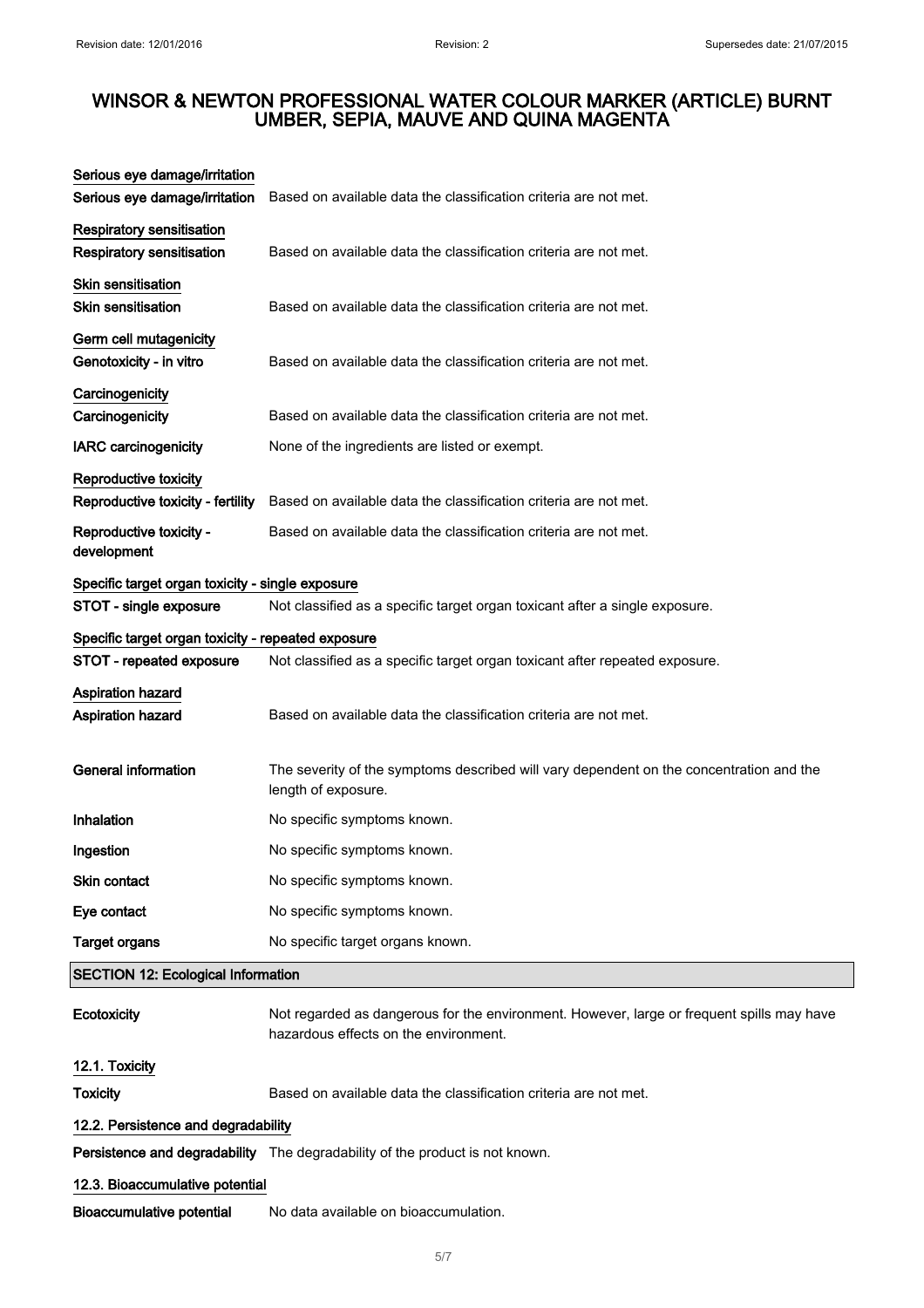| Serious eye damage/irritation<br>Serious eye damage/irritation       | Based on available data the classification criteria are not met.                                                                   |  |
|----------------------------------------------------------------------|------------------------------------------------------------------------------------------------------------------------------------|--|
| <b>Respiratory sensitisation</b><br><b>Respiratory sensitisation</b> | Based on available data the classification criteria are not met.                                                                   |  |
| <b>Skin sensitisation</b><br><b>Skin sensitisation</b>               | Based on available data the classification criteria are not met.                                                                   |  |
| Germ cell mutagenicity<br>Genotoxicity - in vitro                    | Based on available data the classification criteria are not met.                                                                   |  |
| Carcinogenicity<br>Carcinogenicity                                   | Based on available data the classification criteria are not met.                                                                   |  |
| <b>IARC</b> carcinogenicity                                          | None of the ingredients are listed or exempt.                                                                                      |  |
| Reproductive toxicity                                                |                                                                                                                                    |  |
| Reproductive toxicity - fertility                                    | Based on available data the classification criteria are not met.                                                                   |  |
| Reproductive toxicity -<br>development                               | Based on available data the classification criteria are not met.                                                                   |  |
| Specific target organ toxicity - single exposure                     |                                                                                                                                    |  |
| STOT - single exposure                                               | Not classified as a specific target organ toxicant after a single exposure.                                                        |  |
| Specific target organ toxicity - repeated exposure                   |                                                                                                                                    |  |
| STOT - repeated exposure                                             | Not classified as a specific target organ toxicant after repeated exposure.                                                        |  |
| <b>Aspiration hazard</b><br><b>Aspiration hazard</b>                 | Based on available data the classification criteria are not met.                                                                   |  |
| <b>General information</b>                                           | The severity of the symptoms described will vary dependent on the concentration and the<br>length of exposure.                     |  |
| Inhalation                                                           | No specific symptoms known.                                                                                                        |  |
| Ingestion                                                            | No specific symptoms known.                                                                                                        |  |
| Skin contact                                                         | No specific symptoms known.                                                                                                        |  |
| Eye contact                                                          | No specific symptoms known.                                                                                                        |  |
| <b>Target organs</b>                                                 | No specific target organs known.                                                                                                   |  |
| <b>SECTION 12: Ecological Information</b>                            |                                                                                                                                    |  |
| Ecotoxicity                                                          | Not regarded as dangerous for the environment. However, large or frequent spills may have<br>hazardous effects on the environment. |  |
| 12.1. Toxicity                                                       |                                                                                                                                    |  |
| <b>Toxicity</b>                                                      | Based on available data the classification criteria are not met.                                                                   |  |
| 12.2. Persistence and degradability                                  |                                                                                                                                    |  |
|                                                                      | Persistence and degradability The degradability of the product is not known.                                                       |  |
| 12.3. Bioaccumulative potential                                      |                                                                                                                                    |  |
| <b>Bioaccumulative potential</b>                                     | No data available on bioaccumulation.                                                                                              |  |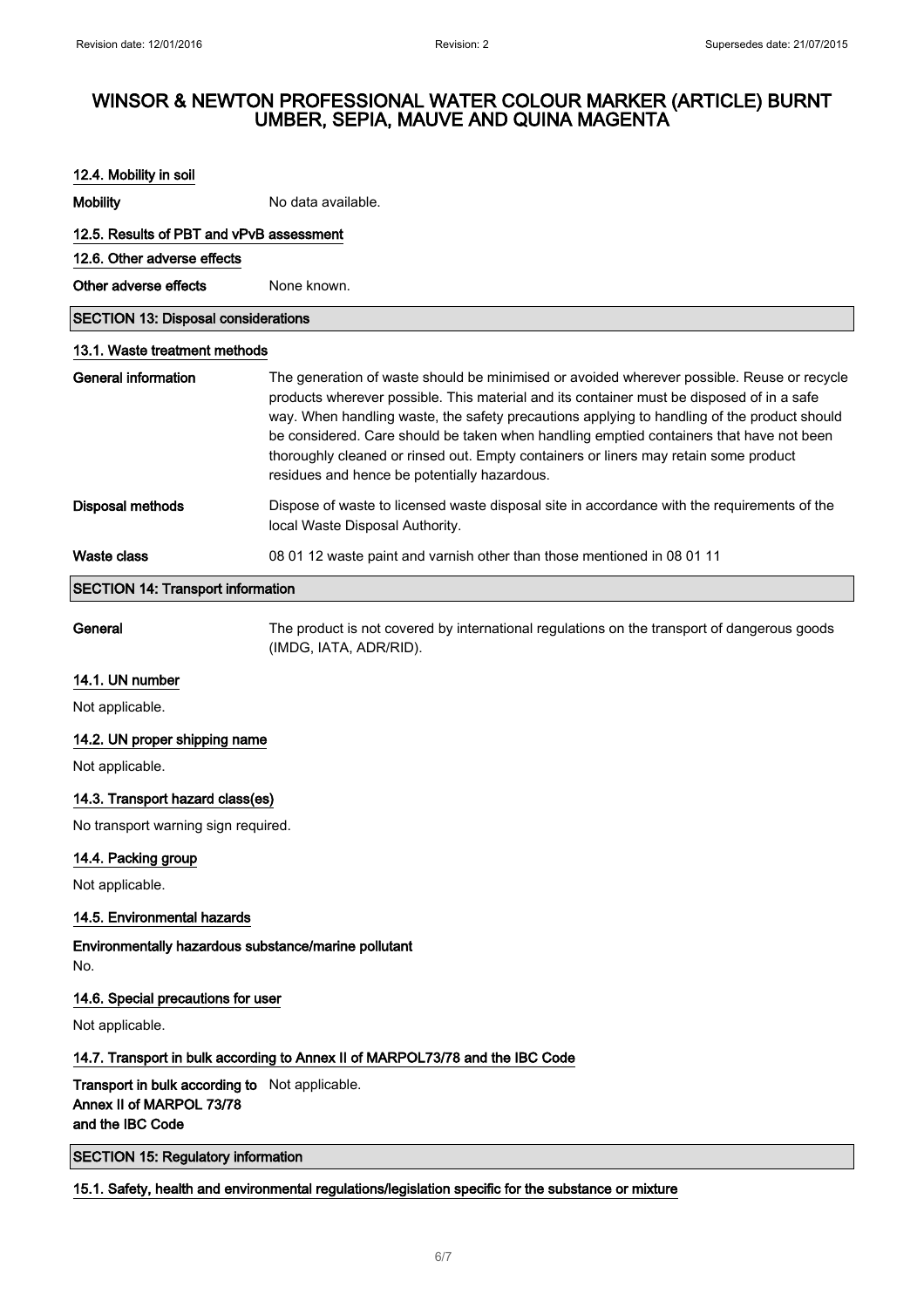| 12.4. Mobility in soil                     |                                                                                                                                                                                                                                                                                                                                                                                                                                                                                                                           |  |
|--------------------------------------------|---------------------------------------------------------------------------------------------------------------------------------------------------------------------------------------------------------------------------------------------------------------------------------------------------------------------------------------------------------------------------------------------------------------------------------------------------------------------------------------------------------------------------|--|
| <b>Mobility</b>                            | No data available.                                                                                                                                                                                                                                                                                                                                                                                                                                                                                                        |  |
| 12.5. Results of PBT and vPvB assessment   |                                                                                                                                                                                                                                                                                                                                                                                                                                                                                                                           |  |
| 12.6. Other adverse effects                |                                                                                                                                                                                                                                                                                                                                                                                                                                                                                                                           |  |
| Other adverse effects                      | None known.                                                                                                                                                                                                                                                                                                                                                                                                                                                                                                               |  |
| <b>SECTION 13: Disposal considerations</b> |                                                                                                                                                                                                                                                                                                                                                                                                                                                                                                                           |  |
| 13.1. Waste treatment methods              |                                                                                                                                                                                                                                                                                                                                                                                                                                                                                                                           |  |
| <b>General information</b>                 | The generation of waste should be minimised or avoided wherever possible. Reuse or recycle<br>products wherever possible. This material and its container must be disposed of in a safe<br>way. When handling waste, the safety precautions applying to handling of the product should<br>be considered. Care should be taken when handling emptied containers that have not been<br>thoroughly cleaned or rinsed out. Empty containers or liners may retain some product<br>residues and hence be potentially hazardous. |  |
| <b>Disposal methods</b>                    | Dispose of waste to licensed waste disposal site in accordance with the requirements of the<br>local Waste Disposal Authority.                                                                                                                                                                                                                                                                                                                                                                                            |  |
| Waste class                                | 08 01 12 waste paint and varnish other than those mentioned in 08 01 11                                                                                                                                                                                                                                                                                                                                                                                                                                                   |  |
| <b>SECTION 14: Transport information</b>   |                                                                                                                                                                                                                                                                                                                                                                                                                                                                                                                           |  |

General The product is not covered by international regulations on the transport of dangerous goods (IMDG, IATA, ADR/RID).

#### 14.1. UN number

Not applicable.

### 14.2. UN proper shipping name

Not applicable.

### 14.3. Transport hazard class(es)

No transport warning sign required.

### 14.4. Packing group

Not applicable.

### 14.5. Environmental hazards

Environmentally hazardous substance/marine pollutant No.

#### 14.6. Special precautions for user

Not applicable.

## 14.7. Transport in bulk according to Annex II of MARPOL73/78 and the IBC Code

Transport in bulk according to Not applicable. Annex II of MARPOL 73/78 and the IBC Code

SECTION 15: Regulatory information

## 15.1. Safety, health and environmental regulations/legislation specific for the substance or mixture